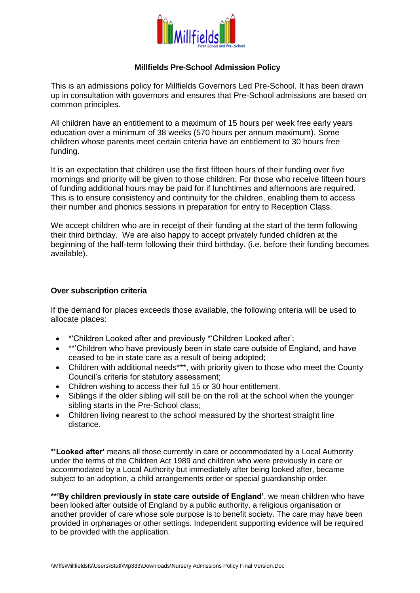

## **Millfields Pre-School Admission Policy**

This is an admissions policy for Millfields Governors Led Pre-School. It has been drawn up in consultation with governors and ensures that Pre-School admissions are based on common principles.

All children have an entitlement to a maximum of 15 hours per week free early years education over a minimum of 38 weeks (570 hours per annum maximum). Some children whose parents meet certain criteria have an entitlement to 30 hours free funding.

It is an expectation that children use the first fifteen hours of their funding over five mornings and priority will be given to those children. For those who receive fifteen hours of funding additional hours may be paid for if lunchtimes and afternoons are required. This is to ensure consistency and continuity for the children, enabling them to access their number and phonics sessions in preparation for entry to Reception Class.

We accept children who are in receipt of their funding at the start of the term following their third birthday. We are also happy to accept privately funded children at the beginning of the half-term following their third birthday. (i.e. before their funding becomes available).

## **Over subscription criteria**

If the demand for places exceeds those available, the following criteria will be used to allocate places:

- \*'Children Looked after and previously \*'Children Looked after';
- \*\*'Children who have previously been in state care outside of England, and have ceased to be in state care as a result of being adopted;
- Children with additional needs\*\*\*, with priority given to those who meet the County Council's criteria for statutory assessment;
- Children wishing to access their full 15 or 30 hour entitlement.
- Siblings if the older sibling will still be on the roll at the school when the younger sibling starts in the Pre-School class;
- Children living nearest to the school measured by the shortest straight line distance.

**\*'Looked after'** means all those currently in care or accommodated by a Local Authority under the terms of the Children Act 1989 and children who were previously in care or accommodated by a Local Authority but immediately after being looked after, became subject to an adoption, a child arrangements order or special guardianship order.

**\*\*'By children previously in state care outside of England'**, we mean children who have been looked after outside of England by a public authority, a religious organisation or another provider of care whose sole purpose is to benefit society. The care may have been provided in orphanages or other settings. Independent supporting evidence will be required to be provided with the application.